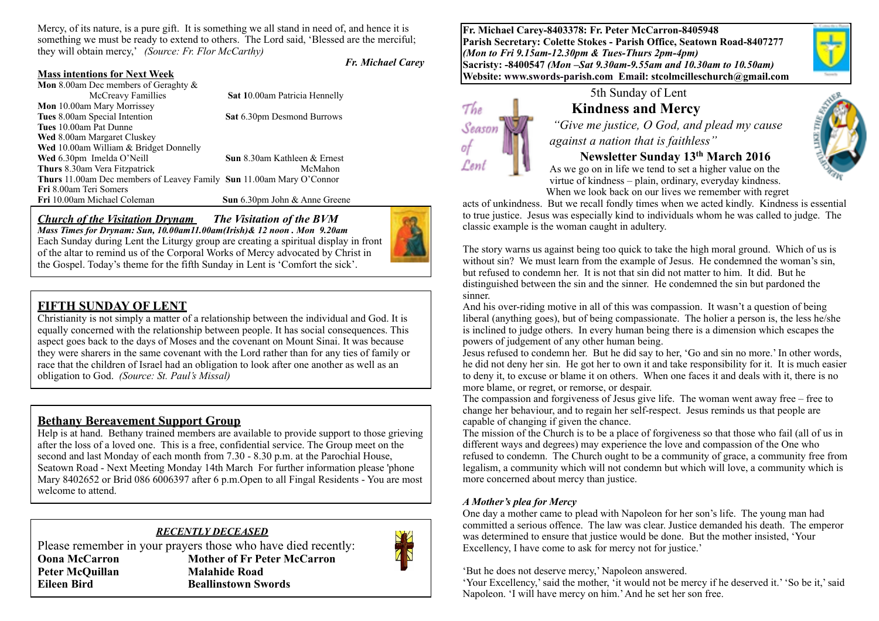Mercy, of its nature, is a pure gift. It is something we all stand in need of, and hence it is something we must be ready to extend to others. The Lord said, 'Blessed are the merciful; they will obtain mercy,' *(Source: Fr. Flor McCarthy)* 

*Fr. Michael Carey*

#### **Mass intentions for Next Week**

| <b>Mon</b> 8.00am Dec members of Geraghty $\&$                       |                                      |
|----------------------------------------------------------------------|--------------------------------------|
| McCreavy Famillies                                                   | <b>Sat 10.00am Patricia Hennelly</b> |
| Mon 10.00am Mary Morrissey                                           |                                      |
| Tues 8.00am Special Intention                                        | <b>Sat 6.30pm Desmond Burrows</b>    |
| Tues 10.00am Pat Dunne                                               |                                      |
| <b>Wed</b> 8.00am Margaret Cluskey                                   |                                      |
| Wed 10.00am William & Bridget Donnelly                               |                                      |
| Wed 6.30pm Imelda O'Neill                                            | <b>Sun</b> 8.30am Kathleen & Ernest  |
| <b>Thurs</b> 8.30am Vera Fitzpatrick                                 | McMahon                              |
| Thurs 11.00am Dec members of Leavey Family Sun 11.00am Mary O'Connor |                                      |
| Fri 8.00am Teri Somers                                               |                                      |
| Fri 10.00am Michael Coleman                                          | Sun 6.30pm John & Anne Greene        |
|                                                                      |                                      |

#### *Church of the Visitation Drynam**The Visitation of the BVM*

*Mass Times for Drynam: Sun, 10.00am11.00am(Irish)& 12 noon . Mon 9.20am*  Each Sunday during Lent the Liturgy group are creating a spiritual display in front of the altar to remind us of the Corporal Works of Mercy advocated by Christ in the Gospel. Today's theme for the fifth Sunday in Lent is 'Comfort the sick'.

### **FIFTH SUNDAY OF LENT**

Christianity is not simply a matter of a relationship between the individual and God. It is equally concerned with the relationship between people. It has social consequences. This aspect goes back to the days of Moses and the covenant on Mount Sinai. It was because they were sharers in the same covenant with the Lord rather than for any ties of family or race that the children of Israel had an obligation to look after one another as well as an obligation to God. *(Source: St. Paul's Missal)*

#### **Bethany Bereavement Support Group**

Help is at hand. Bethany trained members are available to provide support to those grieving after the loss of a loved one. This is a free, confidential service. The Group meet on the second and last Monday of each month from 7.30 - 8.30 p.m. at the Parochial House, Seatown Road - Next Meeting Monday 14th March For further information please 'phone Mary 8402652 or Brid 086 6006397 after 6 p.m.Open to all Fingal Residents - You are most welcome to attend.

#### *RECENTLY DECEASED*

Please remember in your prayers those who have died recently: **Oona McCarron Mother of Fr Peter McCarron** Peter McQuillan **Malahide Road Eileen Bird Beallinstown Swords** 



**Fr. Michael Carey-8403378: Fr. Peter McCarron-8405948 Parish Secretary: Colette Stokes - Parish Office, Seatown Road-8407277**  *(Mon to Fri 9.15am-12.30pm & Tues-Thurs 2pm-4pm)*  **Sacristy: -8400547** *(Mon –Sat 9.30am-9.55am and 10.30am to 10.50am)* **Website: [www.swords-parish.com Email:](http://www.swords-parish.com%20%20email) stcolmcilleschurch@gmail.com**





# 5th Sunday of Lent

# **Kindness and Mercy**   *"Give me justice, O God, and plead my cause*

*against a nation that is faithless"* 

#### **Newsletter Sunday 13th March 2016**

As we go on in life we tend to set a higher value on the virtue of kindness – plain, ordinary, everyday kindness. When we look back on our lives we remember with regret

acts of unkindness. But we recall fondly times when we acted kindly. Kindness is essential to true justice. Jesus was especially kind to individuals whom he was called to judge. The classic example is the woman caught in adultery.

The story warns us against being too quick to take the high moral ground. Which of us is without sin? We must learn from the example of Jesus. He condemned the woman's sin, but refused to condemn her. It is not that sin did not matter to him. It did. But he distinguished between the sin and the sinner. He condemned the sin but pardoned the sinner.

And his over-riding motive in all of this was compassion. It wasn't a question of being liberal (anything goes), but of being compassionate. The holier a person is, the less he/she is inclined to judge others. In every human being there is a dimension which escapes the powers of judgement of any other human being.

Jesus refused to condemn her. But he did say to her, 'Go and sin no more.' In other words, he did not deny her sin. He got her to own it and take responsibility for it. It is much easier to deny it, to excuse or blame it on others. When one faces it and deals with it, there is no more blame, or regret, or remorse, or despair.

The compassion and forgiveness of Jesus give life. The woman went away free – free to change her behaviour, and to regain her self-respect. Jesus reminds us that people are capable of changing if given the chance.

The mission of the Church is to be a place of forgiveness so that those who fail (all of us in different ways and degrees) may experience the love and compassion of the One who refused to condemn. The Church ought to be a community of grace, a community free from legalism, a community which will not condemn but which will love, a community which is more concerned about mercy than justice.

#### *A Mother's plea for Mercy*

One day a mother came to plead with Napoleon for her son's life. The young man had committed a serious offence. The law was clear. Justice demanded his death. The emperor was determined to ensure that justice would be done. But the mother insisted, 'Your Excellency. I have come to ask for mercy not for justice.'

'But he does not deserve mercy,' Napoleon answered.

'Your Excellency,' said the mother, 'it would not be mercy if he deserved it.' 'So be it,' said Napoleon. 'I will have mercy on him.' And he set her son free.